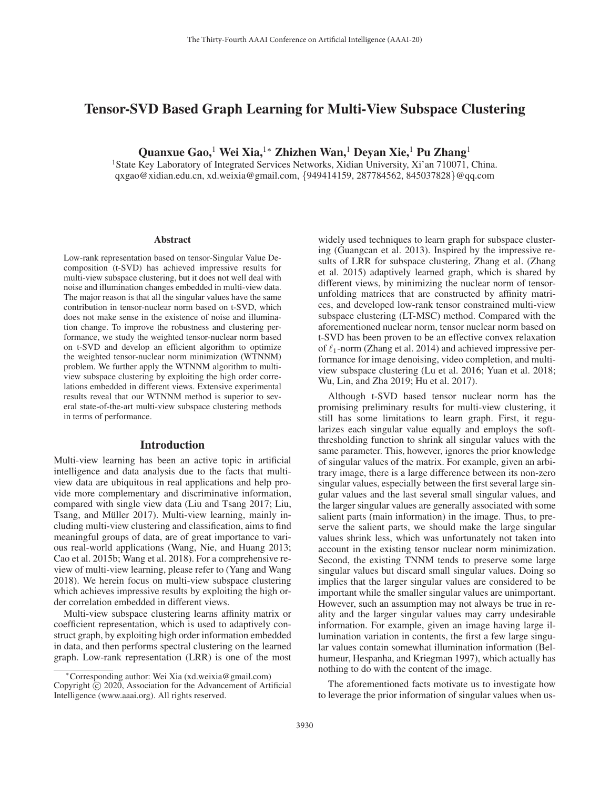# Tensor-SVD Based Graph Learning for Multi-View Subspace Clustering

Quanxue Gao,<sup>1</sup> Wei Xia,<sup>1</sup>\* Zhizhen Wan,<sup>1</sup> Deyan Xie,<sup>1</sup> Pu Zhang<sup>1</sup>

<sup>1</sup>State Key Laboratory of Integrated Services Networks, Xidian University, Xi'an 710071, China. qxgao@xidian.edu.cn, xd.weixia@gmail.com, {949414159, 287784562, 845037828}@qq.com

#### Abstract

Low-rank representation based on tensor-Singular Value Decomposition (t-SVD) has achieved impressive results for multi-view subspace clustering, but it does not well deal with noise and illumination changes embedded in multi-view data. The major reason is that all the singular values have the same contribution in tensor-nuclear norm based on t-SVD, which does not make sense in the existence of noise and illumination change. To improve the robustness and clustering performance, we study the weighted tensor-nuclear norm based on t-SVD and develop an efficient algorithm to optimize the weighted tensor-nuclear norm minimization (WTNNM) problem. We further apply the WTNNM algorithm to multiview subspace clustering by exploiting the high order correlations embedded in different views. Extensive experimental results reveal that our WTNNM method is superior to several state-of-the-art multi-view subspace clustering methods in terms of performance.

### Introduction

Multi-view learning has been an active topic in artificial intelligence and data analysis due to the facts that multiview data are ubiquitous in real applications and help provide more complementary and discriminative information, compared with single view data (Liu and Tsang 2017; Liu, Tsang, and Müller 2017). Multi-view learning, mainly including multi-view clustering and classification, aims to find meaningful groups of data, are of great importance to various real-world applications (Wang, Nie, and Huang 2013; Cao et al. 2015b; Wang et al. 2018). For a comprehensive review of multi-view learning, please refer to (Yang and Wang 2018). We herein focus on multi-view subspace clustering which achieves impressive results by exploiting the high order correlation embedded in different views.

Multi-view subspace clustering learns affinity matrix or coefficient representation, which is used to adaptively construct graph, by exploiting high order information embedded in data, and then performs spectral clustering on the learned graph. Low-rank representation (LRR) is one of the most

widely used techniques to learn graph for subspace clustering (Guangcan et al. 2013). Inspired by the impressive results of LRR for subspace clustering, Zhang et al. (Zhang et al. 2015) adaptively learned graph, which is shared by different views, by minimizing the nuclear norm of tensorunfolding matrices that are constructed by affinity matrices, and developed low-rank tensor constrained multi-view subspace clustering (LT-MSC) method. Compared with the aforementioned nuclear norm, tensor nuclear norm based on t-SVD has been proven to be an effective convex relaxation of  $\ell_1$ -norm (Zhang et al. 2014) and achieved impressive performance for image denoising, video completion, and multiview subspace clustering (Lu et al. 2016; Yuan et al. 2018; Wu, Lin, and Zha 2019; Hu et al. 2017).

Although t-SVD based tensor nuclear norm has the promising preliminary results for multi-view clustering, it still has some limitations to learn graph. First, it regularizes each singular value equally and employs the softthresholding function to shrink all singular values with the same parameter. This, however, ignores the prior knowledge of singular values of the matrix. For example, given an arbitrary image, there is a large difference between its non-zero singular values, especially between the first several large singular values and the last several small singular values, and the larger singular values are generally associated with some salient parts (main information) in the image. Thus, to preserve the salient parts, we should make the large singular values shrink less, which was unfortunately not taken into account in the existing tensor nuclear norm minimization. Second, the existing TNNM tends to preserve some large singular values but discard small singular values. Doing so implies that the larger singular values are considered to be important while the smaller singular values are unimportant. However, such an assumption may not always be true in reality and the larger singular values may carry undesirable information. For example, given an image having large illumination variation in contents, the first a few large singular values contain somewhat illumination information (Belhumeur, Hespanha, and Kriegman 1997), which actually has nothing to do with the content of the image.

The aforementioned facts motivate us to investigate how to leverage the prior information of singular values when us-

<sup>∗</sup>Corresponding author: Wei Xia (xd.weixia@gmail.com) Copyright  $\odot$  2020, Association for the Advancement of Artificial Intelligence (www.aaai.org). All rights reserved.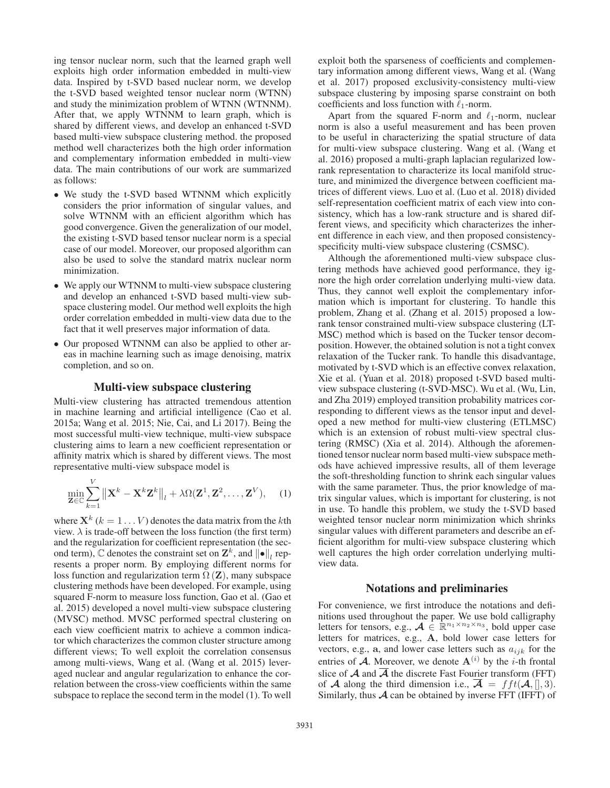ing tensor nuclear norm, such that the learned graph well exploits high order information embedded in multi-view data. Inspired by t-SVD based nuclear norm, we develop the t-SVD based weighted tensor nuclear norm (WTNN) and study the minimization problem of WTNN (WTNNM). After that, we apply WTNNM to learn graph, which is shared by different views, and develop an enhanced t-SVD based multi-view subspace clustering method. the proposed method well characterizes both the high order information and complementary information embedded in multi-view data. The main contributions of our work are summarized as follows:

- We study the t-SVD based WTNNM which explicitly considers the prior information of singular values, and solve WTNNM with an efficient algorithm which has good convergence. Given the generalization of our model, the existing t-SVD based tensor nuclear norm is a special case of our model. Moreover, our proposed algorithm can also be used to solve the standard matrix nuclear norm minimization.
- We apply our WTNNM to multi-view subspace clustering and develop an enhanced t-SVD based multi-view subspace clustering model. Our method well exploits the high order correlation embedded in multi-view data due to the fact that it well preserves major information of data.
- Our proposed WTNNM can also be applied to other areas in machine learning such as image denoising, matrix completion, and so on.

## Multi-view subspace clustering

Multi-view clustering has attracted tremendous attention in machine learning and artificial intelligence (Cao et al. 2015a; Wang et al. 2015; Nie, Cai, and Li 2017). Being the most successful multi-view technique, multi-view subspace clustering aims to learn a new coefficient representation or affinity matrix which is shared by different views. The most representative multi-view subspace model is

$$
\min_{\mathbf{Z}\in\mathbb{C}}\sum_{k=1}^{V}\left\|\mathbf{X}^{k}-\mathbf{X}^{k}\mathbf{Z}^{k}\right\|_{l}+\lambda\Omega(\mathbf{Z}^{1},\mathbf{Z}^{2},\ldots,\mathbf{Z}^{V}),\quad(1)
$$

where  $X^k$  ( $k = 1...V$ ) denotes the data matrix from the kth view.  $\lambda$  is trade-off between the loss function (the first term) and the regularization for coefficient representation (the second term),  $\mathbb C$  denotes the constraint set on  $\mathbf Z^k$ , and  $\|\bullet\|_l$  represents a proper norm. By employing different norms for loss function and regularization term  $\Omega$  (**Z**), many subspace clustering methods have been developed. For example, using squared F-norm to measure loss function, Gao et al. (Gao et al. 2015) developed a novel multi-view subspace clustering (MVSC) method. MVSC performed spectral clustering on each view coefficient matrix to achieve a common indicator which characterizes the common cluster structure among different views; To well exploit the correlation consensus among multi-views, Wang et al. (Wang et al. 2015) leveraged nuclear and angular regularization to enhance the correlation between the cross-view coefficients within the same subspace to replace the second term in the model (1). To well

exploit both the sparseness of coefficients and complementary information among different views, Wang et al. (Wang et al. 2017) proposed exclusivity-consistency multi-view subspace clustering by imposing sparse constraint on both coefficients and loss function with  $\ell_1$ -norm.

Apart from the squared F-norm and  $\ell_1$ -norm, nuclear norm is also a useful measurement and has been proven to be useful in characterizing the spatial structure of data for multi-view subspace clustering. Wang et al. (Wang et al. 2016) proposed a multi-graph laplacian regularized lowrank representation to characterize its local manifold structure, and minimized the divergence between coefficient matrices of different views. Luo et al. (Luo et al. 2018) divided self-representation coefficient matrix of each view into consistency, which has a low-rank structure and is shared different views, and specificity which characterizes the inherent difference in each view, and then proposed consistencyspecificity multi-view subspace clustering (CSMSC).

Although the aforementioned multi-view subspace clustering methods have achieved good performance, they ignore the high order correlation underlying multi-view data. Thus, they cannot well exploit the complementary information which is important for clustering. To handle this problem, Zhang et al. (Zhang et al. 2015) proposed a lowrank tensor constrained multi-view subspace clustering (LT-MSC) method which is based on the Tucker tensor decomposition. However, the obtained solution is not a tight convex relaxation of the Tucker rank. To handle this disadvantage, motivated by t-SVD which is an effective convex relaxation, Xie et al. (Yuan et al. 2018) proposed t-SVD based multiview subspace clustering (t-SVD-MSC). Wu et al. (Wu, Lin, and Zha 2019) employed transition probability matrices corresponding to different views as the tensor input and developed a new method for multi-view clustering (ETLMSC) which is an extension of robust multi-view spectral clustering (RMSC) (Xia et al. 2014). Although the aforementioned tensor nuclear norm based multi-view subspace methods have achieved impressive results, all of them leverage the soft-thresholding function to shrink each singular values with the same parameter. Thus, the prior knowledge of matrix singular values, which is important for clustering, is not in use. To handle this problem, we study the t-SVD based weighted tensor nuclear norm minimization which shrinks singular values with different parameters and describe an efficient algorithm for multi-view subspace clustering which well captures the high order correlation underlying multiview data.

## Notations and preliminaries

For convenience, we first introduce the notations and definitions used throughout the paper. We use bold calligraphy letters for tensors, e.g.,  $\mathcal{A} \in \mathbb{R}^{n_1 \times n_2 \times n_3}$ , bold upper case letters for matrices, e.g., **A**, bold lower case letters for vectors, e.g.,  $a$ , and lower case letters such as  $a_{ijk}$  for the entries of  $\boldsymbol{\mathcal{A}}$ . Moreover, we denote  $\mathbf{A}^{(i)}$  by the *i*-th frontal slice of  $\overline{A}$  and  $\overline{A}$  the discrete Fast Fourier transform (FFT) of *A* along the third dimension i.e.,  $\overline{A} = fft(A, [0, 3)]$ . Similarly, thus  $A$  can be obtained by inverse FFT (IFFT) of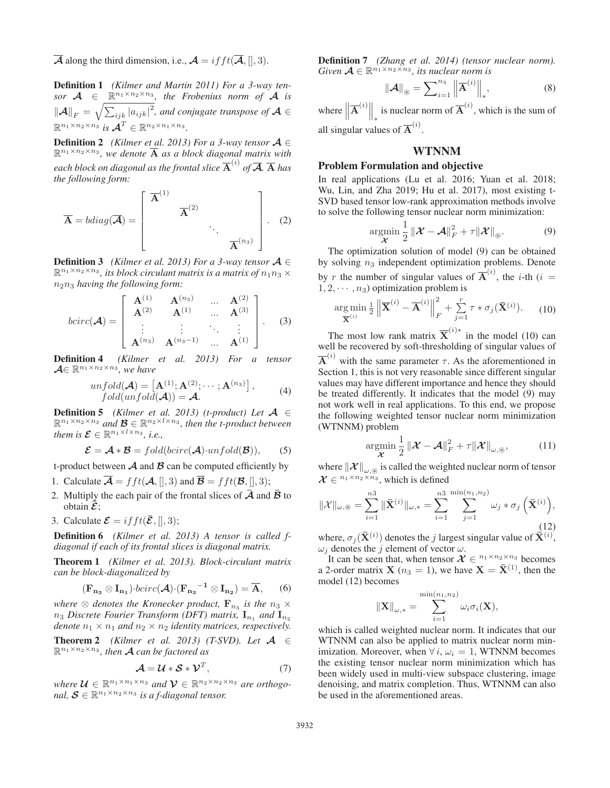$\overline{\mathcal{A}}$  along the third dimension, i.e.,  $\mathcal{A} = if ft(\overline{\mathcal{A}},[],3)$ .

Definition 1 *(Kilmer and Martin 2011) For a 3-way tensor*  $A \in \mathbb{R}^{n_1 \times n_2 \times n_3}$ , the Frobenius norm of A is  $\|\mathcal{A}\|_F = \sqrt{\sum_{ijk} |a_{ijk}|^2}$ , and conjugate transpose of  $\mathcal{A} \in \mathcal{A}$  $\mathbb{R}^{n_1 \times n_2 \times n_3}$  *is*  $\mathcal{A}^T \in \mathbb{R}^{n_2 \times n_1 \times n_3}$ *.* 

**Definition 2** *(Kilmer et al. 2013) For a 3-way tensor*  $A \in$  $\mathbb{R}^{n_1 \times n_2 \times n_3}$ , we denote  $\overline{A}$  as a block diagonal matrix with each block on diagonal as the frontal slice  $\overline{\mathbf{A}}^{(i)}$  of  $\overline{\mathcal{A}}$   $\overline{\mathbf{A}}$  has *the following form:*

$$
\overline{\mathbf{A}} = bdiag(\overline{\mathbf{A}}) = \begin{bmatrix} \overline{\mathbf{A}}^{(1)} & & \\ & \overline{\mathbf{A}}^{(2)} & \\ & & \ddots \\ & & & \overline{\mathbf{A}}^{(n_3)} \end{bmatrix} . \tag{2}
$$

**Definition 3** *(Kilmer et al. 2013) For a 3-way tensor*  $A \in$  $\mathbb{R}^{n_1 \times n_2 \times n_3}$ , its block circulant matrix is a matrix of  $n_1 n_3 \times$ n2n<sup>3</sup> *having the following form:*

$$
bcirc(\mathcal{A}) = \left[ \begin{array}{cccc} \mathbf{A}^{(1)} & \mathbf{A}^{(n_3)} & \dots & \mathbf{A}^{(2)} \\ \mathbf{A}^{(2)} & \mathbf{A}^{(1)} & \dots & \mathbf{A}^{(3)} \\ \vdots & \vdots & \ddots & \vdots \\ \mathbf{A}^{(n_3)} & \mathbf{A}^{(n_3-1)} & \dots & \mathbf{A}^{(1)} \end{array} \right].
$$
 (3)

Definition 4 *(Kilmer et al. 2013) For a tensor*  $A \in \mathbb{R}^{n_1 \times n_2 \times n_3}$ *, we have* 

$$
unfold(\mathcal{A}) = [\mathbf{A}^{(1)}; \mathbf{A}^{(2)}; \cdots; \mathbf{A}^{(n_3)}],
$$
  
fold(unfold(\mathcal{A})) = \mathcal{A}. (4)

Definition 5 *(Kilmer et al. 2013) (t-product) Let A* ∈  $\mathbb{R}^{n_1 \times n_2 \times n_3}$  *and*  $\mathcal{B} \in \mathbb{R}^{n_2 \times l \times n_3}$ *, then the t-product between them is*  $\mathcal{E} \in \mathbb{R}^{n_1 \times l \times n_3}$ *, i.e.,* 

$$
\mathcal{E} = \mathcal{A} * \mathcal{B} = fold(bcirc(\mathcal{A}) \cdot unfold(\mathcal{B})),
$$
 (5)

t-product between  $A$  and  $B$  can be computed efficiently by

- 1. Calculate  $\overline{\mathcal{A}} = fft(\mathcal{A},[], 3)$  and  $\overline{\mathcal{B}} = fft(\mathcal{B},[], 3);$
- 2. Multiply the each pair of the frontal slices of  $\vec{\mathcal{A}}$  and  $\vec{\mathcal{B}}$  to obtain  $\bar{\mathcal{E}}$ ;
- 3. Calculate  $\mathcal{E} = if ft(\bar{\mathcal{E}},[],3);$

Definition 6 *(Kilmer et al. 2013) A tensor is called fdiagonal if each of its frontal slices is diagonal matrix.*

Theorem 1 *(Kilmer et al. 2013). Block-circulant matrix can be block-diagonalized by*

$$
(\mathbf{F}_{\mathbf{n}_3} \otimes \mathbf{I}_{\mathbf{n}_1}) \cdot \text{bcirc}(\mathcal{A}) \cdot (\mathbf{F}_{\mathbf{n}_3}^{-1} \otimes \mathbf{I}_{\mathbf{n}_2}) = \overline{\mathbf{A}}, \qquad (6)
$$

where  $\otimes$  denotes the Kronecker product,  $\mathbf{F}_{n_3}$  is the  $n_3 \times$  $n_3$  *Discrete Fourier Transform (DFT) matrix,*  $I_{n_1}$  *and*  $I_{n_2}$ *denote*  $n_1 \times n_1$  *and*  $n_2 \times n_2$  *identity matrices, respectively.* 

**Theorem 2** *(Kilmer et al. 2013)* (T-SVD). Let  $A \in$  $\mathbb{R}^{n_1 \times n_2 \times n_3}$ , then **A** can be factored as

$$
\mathcal{A} = \mathcal{U} * \mathcal{S} * \mathcal{V}^T, \tag{7}
$$

*where*  $\mathcal{U} \in \mathbb{R}^{n_1 \times n_1 \times n_3}$  *and*  $\mathcal{V} \in \mathbb{R}^{n_2 \times n_2 \times n_3}$  *are orthogonal,*  $S \in \mathbb{R}^{n_1 \times n_2 \times n_3}$  *is a f-diagonal tensor.* 

Definition 7 *(Zhang et al. 2014) (tensor nuclear norm). Given*  $\mathcal{A} \in \mathbb{R}^{n_1 \times n_2 \times n_3}$ *, its nuclear norm is* 

$$
\|\mathcal{A}\|_{\circledast} = \sum_{i=1}^{n_3} \left\| \overline{\mathbf{A}}^{(i)} \right\|_{*},\tag{8}
$$

where  $\left\|\overline{\mathbf{A}}^{(i)}\right\|_{*}$ is nuclear norm of  $\overline{A}^{(i)}$ , which is the sum of all singular values of  $\overline{A}^{(i)}$ .

# **WTNNM**

### Problem Formulation and objective

In real applications (Lu et al. 2016; Yuan et al. 2018; Wu, Lin, and Zha 2019; Hu et al. 2017), most existing t-SVD based tensor low-rank approximation methods involve to solve the following tensor nuclear norm minimization:

$$
\underset{\mathcal{X}}{\operatorname{argmin}} \frac{1}{2} \left\| \mathcal{X} - \mathcal{A} \right\|_F^2 + \tau \left\| \mathcal{X} \right\|_{\circledast}.
$$
 (9)  
The optimization solution of model (9) can be obtained

by solving  $n_3$  independent optimization problems. Denote by r the number of singular values of  $\overline{A}^{(i)}$ , the *i*-th (*i* = 1.2 ...  $p_0$ ) optimization problem is  $1, 2, \cdots, n_3$ ) optimization problem is

$$
\underset{\overline{\mathbf{X}}^{(i)}}{\arg\min} \frac{1}{2} \left\| \overline{\mathbf{X}}^{(i)} - \overline{\mathbf{A}}^{(i)} \right\|_{F}^{2} + \sum_{j=1}^{r} \tau * \sigma_{j}(\overline{\mathbf{X}}^{(i)}). \tag{10}
$$

The most low rank matrix  $\overline{X}^{(i)*}$  in the model (10) can well be recovered by soft-thresholding of singular values of  $\overline{A}^{(i)}$  with the same parameter  $\tau$ . As the aforementioned in Section 1, this is not very reasonable since different singular values may have different importance and hence they should be treated differently. It indicates that the model (9) may not work well in real applications. To this end, we propose the following weighted tensor nuclear norm minimization (WTNNM) problem

$$
\underset{\mathcal{X}}{\operatorname{argmin}} \frac{1}{2} \left\| \mathcal{X} - \mathcal{A} \right\|_F^2 + \tau \left\| \mathcal{X} \right\|_{\omega, \circledast},\tag{11}
$$
\n
$$
\text{where } \left\| \mathcal{X} \right\|_{\omega, \circledast} \text{ is called the weighted nuclear norm of tensor}
$$

 $\mathcal{X} \in \mathbb{R}^{n_1 \times n_2 \times n_3}$ , which is defined

$$
\|\mathcal{X}\|_{\omega,\circledast} = \sum_{i=1}^{n3} \|\bar{\mathbf{X}}^{(i)}\|_{\omega,*} = \sum_{i=1}^{n3} \sum_{j=1}^{\min(n_1, n_2)} \omega_j * \sigma_j\left(\bar{\mathbf{X}}^{(i)}\right),\tag{12}
$$

where,  $\sigma_j(\bar{\mathbf{X}}^{(i)})$  denotes the *j* largest singular value of  $\bar{\mathbf{X}}^{(i)}$ ,  $\omega_i$  denotes the *j* element of vector  $\omega$  $\omega_j$  denotes the j element of vector  $\omega$ .

It can be seen that, when tensor  $X \in \mathbb{R}^{n_1 \times n_2 \times n_3}$  becomes a 2-order matrix **X** ( $n_3 = 1$ ), we have **X** =  $\bar{\mathbf{X}}^{(1)}$ , then the model (12) becomes

$$
\left\|\mathbf{X}\right\|_{\omega,*} = \sum_{i=1}^{\min(n_1,n_2)} \omega_i \sigma_i(\mathbf{X}),
$$

which is called weighted nuclear norm. It indicates that our WTNNM can also be applied to matrix nuclear norm minimization. Moreover, when  $\forall i, \omega_i = 1$ , WTNNM becomes the existing tensor nuclear norm minimization which has been widely used in multi-view subspace clustering, image denoising, and matrix completion. Thus, WTNNM can also be used in the aforementioned areas.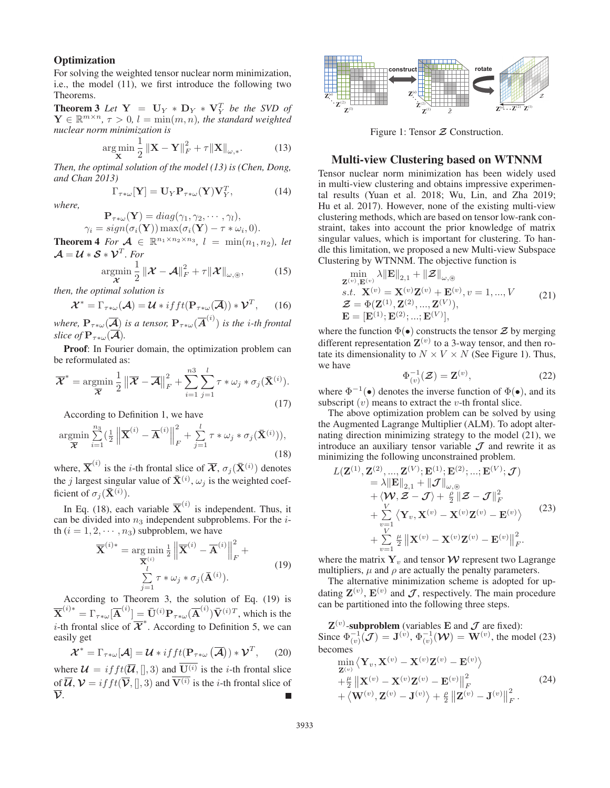### **Optimization**

For solving the weighted tensor nuclear norm minimization, i.e., the model (11), we first introduce the following two Theorems.

**Theorem 3** Let  $Y = U_Y * D_Y * V_Y^T$  be the SVD of  $Y \in \mathbb{R}^{m \times n}$   $\tau > 0$   $l = \min(m, n)$  the standard weighted  $\mathbf{Y} \in \mathbb{R}^{m \times n}$ ,  $\tau > 0$ ,  $l = \min(m, n)$ , the standard weighted *nuclear norm minimization is*

$$
\arg\min_{\mathbf{X}} \frac{1}{2} \left\| \mathbf{X} - \mathbf{Y} \right\|_{F}^{2} + \tau \left\| \mathbf{X} \right\|_{\omega,*}.
$$
 (13)  
Then, the optimal solution of the model (13) is (Chen, Dong,

*and Chan 2013)*

$$
\Gamma_{\tau \ast \omega} [\mathbf{Y}] = \mathbf{U}_{Y} \mathbf{P}_{\tau \ast \omega} (\mathbf{Y}) \mathbf{V}_{Y}^{T}, \tag{14}
$$

*where,*

 $\mathbf{P}_{\tau*\omega}(\mathbf{Y}) = diag(\gamma_1, \gamma_2, \cdots, \gamma_l),$  $\gamma_i = sign(\sigma_i(\mathbf{Y})) \max(\sigma_i(\mathbf{Y}) - \tau * \omega_i, 0).$ 

**Theorem 4** For  $A \in \mathbb{R}^{n_1 \times n_2 \times n_3}$ ,  $l = \min(n_1, n_2)$ , let

$$
\mathcal{A} = \mathcal{U} * \mathcal{S} * \mathcal{V}^T. \text{ For} \\ \underset{\mathcal{X}}{\operatorname{argmin}} \frac{1}{2} \| \mathcal{X} - \mathcal{A} \|^2_F + \tau \| \mathcal{X} \|_{\omega, \circledast}, \quad (15)
$$

*X*  $\mathop{\rm argmin}\limits_{\mathcal{X}} \frac{1}{2} \|\mathcal{X} - \mathcal{X}\|$ <br>then, the optimal solution is

$$
\mathcal{X}^* = \Gamma_{\tau^*\omega}(\mathcal{A}) = \mathcal{U} * ifft(\mathbf{P}_{\tau^*\omega}(\overline{\mathcal{A}})) * \mathcal{V}^T, \qquad (16)
$$

*where,*  $\mathbf{P}_{\tau*\omega}(\overline{\mathcal{A}})$  *is a tensor,*  $\mathbf{P}_{\tau*\omega}(\overline{\mathcal{A}}^{(i)})$  *is the i-th frontal slice of*  $\mathbf{P}$ *slice of*  $\mathbf{P}_{\tau*\omega}(\overline{\mathcal{A}})$ *.* 

Proof: In Fourier domain, the optimization problem can be reformulated as:

$$
\overline{\mathcal{X}}^* = \operatorname*{argmin}_{\overline{\mathcal{X}}} \frac{1}{2} \left\| \overline{\mathcal{X}} - \overline{\mathcal{A}} \right\|_F^2 + \sum_{i=1}^{n3} \sum_{j=1}^l \tau * \omega_j * \sigma_j(\overline{\mathbf{X}}^{(i)}).
$$
\n(17)

According to Definition 1, we have

$$
\underset{\overline{\mathbf{X}}}{\operatorname{argmin}} \sum_{i=1}^{n_3} \left(\frac{1}{2} \left\| \overline{\mathbf{X}}^{(i)} - \overline{\mathbf{A}}^{(i)} \right\|_F^2 + \sum_{j=1}^l \tau * \omega_j * \sigma_j(\overline{\mathbf{X}}^{(i)})),\right. (18)
$$

where,  $\overline{X}^{(i)}$  is the *i*-th frontal slice of  $\overline{\mathcal{X}}$ ,  $\sigma_j(\overline{X}^{(i)})$  denotes the *j* largest singular value of  $\bar{\mathbf{X}}^{(i)}$ ,  $\omega_j$  is the weighted coefficient of  $\sigma_j(\bar{\mathbf{X}}^{(i)})$ .

In Eq. (18), each variable  $\overline{X}^{(i)}$  is independent. Thus, it can be divided into  $n_3$  independent subproblems. For the  $i$ th  $(i = 1, 2, \dots, n_3)$  subproblem, we have

$$
\overline{\mathbf{X}}^{(i)*} = \underset{\overline{\mathbf{X}}^{(i)}}{\arg \min} \frac{1}{2} \left\| \overline{\mathbf{X}}^{(i)} - \overline{\mathbf{A}}^{(i)} \right\|_{F}^{2} + \sum_{j=1}^{l} \tau * \omega_{j} * \sigma_{j}(\overline{\mathbf{A}}^{(i)}).
$$
\n(19)

According to Theorem 3, the solution of Eq. (19) is  $\overline{\mathbf{X}}^{(i)*} = \Gamma_{\tau*\omega}[\overline{\mathbf{A}}^{(i)}] = \overline{\mathbf{U}}^{(i)} \mathbf{P}_{\tau*\omega}(\overline{\mathbf{A}}^{(i)}) \overline{\mathbf{V}}^{(i)T}$ , which is the *i*-th frontal slice of  $\overline{\mathcal{X}}^*$ . According to Definition 5, we can easily get

$$
\mathcal{X}^* = \Gamma_{\tau*\omega}[\mathcal{A}] = \mathcal{U} * if f(\mathbf{P}_{\tau*\omega}(\overline{\mathcal{A}})) * \mathcal{V}^T,
$$
 (20)  
where  $\mathcal{U} = if ft(\overline{\mathcal{U}},[],3)$  and  $\overline{\mathbf{U}^{(i)}}$  is the *i*-th frontal slice  
of  $\overline{\mathcal{U}}, \mathcal{V} = if ft(\overline{\mathcal{V}},[],3)$  and  $\overline{\mathbf{V}^{(i)}}$  is the *i*-th frontal slice of  
 $\overline{\mathcal{V}}$ .



Figure 1: Tensor *Z* Construction.

# Multi-view Clustering based on WTNNM

Tensor nuclear norm minimization has been widely used in multi-view clustering and obtains impressive experimental results (Yuan et al. 2018; Wu, Lin, and Zha 2019; Hu et al. 2017). However, none of the existing multi-view clustering methods, which are based on tensor low-rank constraint, takes into account the prior knowledge of matrix singular values, which is important for clustering. To handle this limitation, we proposed a new Multi-view Subspace Clustering by WTNNM. The objective function is

$$
\min_{\mathbf{Z}^{(v)}, \mathbf{E}^{(v)}} \lambda \|\mathbf{E}\|_{2,1} + \|\mathcal{Z}\|_{\omega, \circledast}
$$
\ns.t. 
$$
\mathbf{X}^{(v)} = \mathbf{X}^{(v)} \mathbf{Z}^{(v)} + \mathbf{E}^{(v)}, v = 1, ..., V
$$
\n
$$
\mathcal{Z} = \Phi(\mathbf{Z}^{(1)}, \mathbf{Z}^{(2)}, ..., \mathbf{Z}^{(V)}),
$$
\n
$$
\mathbf{E} = [\mathbf{E}^{(1)}; \mathbf{E}^{(2)}; ..., \mathbf{E}^{(V)}],
$$
\n(21)

where the function  $\Phi(\bullet)$  constructs the tensor  $\mathcal{Z}$  by merging<br>different representation  $\mathbf{Z}^{(v)}$  to a 3 way tensor, and then ro different representation  $\mathbf{Z}^{(v)}$  to a 3-way tensor, and then rotate its dimensionality to  $N \times V \times N$  (See Figure 1). Thus, we have

$$
\Phi_{(v)}^{-1}(\mathcal{Z}) = \mathbf{Z}^{(v)},\tag{22}
$$

where  $\Phi^{-1}(\bullet)$  denotes the inverse function of  $\Phi(\bullet)$ , and its subscript  $(v)$  means to extract the *v*-th frontal slice subscript  $(v)$  means to extract the *v*-th frontal slice.

The above optimization problem can be solved by using the Augmented Lagrange Multiplier (ALM). To adopt alternating direction minimizing strategy to the model (21), we introduce an auxiliary tensor variable  $\mathcal J$  and rewrite it as minimizing the following unconstrained problem.

$$
L(\mathbf{Z}^{(1)}, \mathbf{Z}^{(2)}, ..., \mathbf{Z}^{(V)}; \mathbf{E}^{(1)}; \mathbf{E}^{(2)}; ..., \mathbf{E}^{(V)}; \mathcal{J})
$$
  
\n
$$
= \lambda \|\mathbf{E}\|_{2,1} + \|\mathcal{J}\|_{\omega,\circledast}
$$
  
\n
$$
+ \langle \mathbf{W}, \mathbf{Z} - \mathcal{J} \rangle + \frac{\rho}{2} \|\mathbf{Z} - \mathcal{J}\|_{F}^{2}
$$
  
\n
$$
+ \sum_{\substack{v=1 \ v \\ v \neq 1}} \langle \mathbf{Y}_{v}, \mathbf{X}^{(v)} - \mathbf{X}^{(v)} \mathbf{Z}^{(v)} - \mathbf{E}^{(v)} \rangle
$$
  
\n
$$
+ \sum_{v=1}^{V} \frac{\mu}{2} \left\| \mathbf{X}^{(v)} - \mathbf{X}^{(v)} \mathbf{Z}^{(v)} - \mathbf{E}^{(v)} \right\|_{F}^{2}.
$$
 (23)

where the matrix  $Y_v$  and tensor  $W$  represent two Lagrange multipliers,  $\mu$  and  $\rho$  are actually the penalty parameters.

The alternative minimization scheme is adopted for updating  $\mathbf{Z}^{(v)}$ ,  $\mathbf{E}^{(v)}$  and  $\mathcal{J}$ , respectively. The main procedure can be partitioned into the following three steps.

 $\mathbf{Z}^{(v)}$ -subproblem (variables **E** and  $\mathcal{J}$  are fixed): Since  $\Phi_{(v)}^{-1}(\mathcal{J}) = \mathbf{J}^{(v)}$ ,  $\Phi_{(v)}^{-1}(\mathcal{W}) = \mathbf{W}^{(v)}$ , the model (23) becomes

$$
\min_{\mathbf{Z}^{(v)}} \left\langle \mathbf{Y}_v, \mathbf{X}^{(v)} - \mathbf{X}^{(v)} \mathbf{Z}^{(v)} - \mathbf{E}^{(v)} \right\rangle \n+ \frac{\mu}{2} \left\| \mathbf{X}^{(v)} - \mathbf{X}^{(v)} \mathbf{Z}^{(v)} - \mathbf{E}^{(v)} \right\|_F^2 \n+ \left\langle \mathbf{W}^{(v)}, \mathbf{Z}^{(v)} - \mathbf{J}^{(v)} \right\rangle + \frac{\rho}{2} \left\| \mathbf{Z}^{(v)} - \mathbf{J}^{(v)} \right\|_F^2.
$$
\n(24)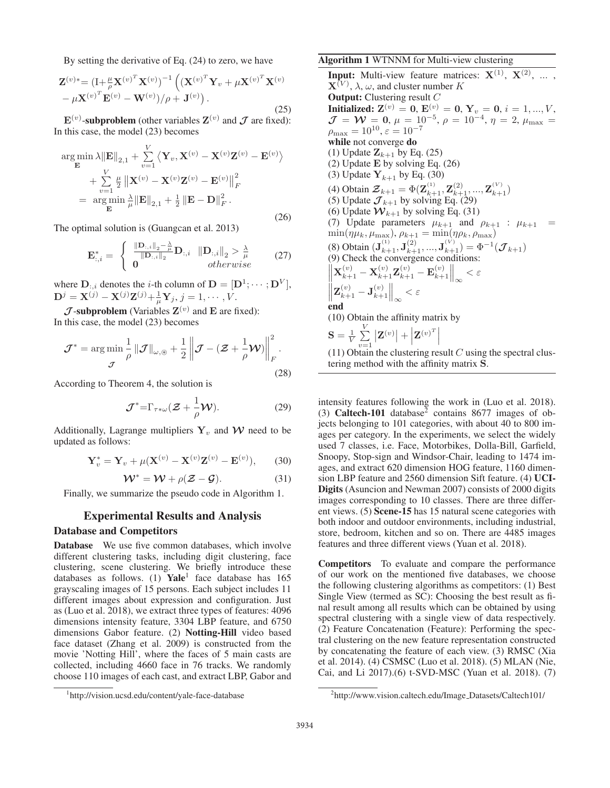By setting the derivative of Eq. (24) to zero, we have

$$
\mathbf{Z}^{(v)*} = (\mathbf{I} + \frac{\mu}{\rho} \mathbf{X}^{(v)^T} \mathbf{X}^{(v)})^{-1} \left( (\mathbf{X}^{(v)^T} \mathbf{Y}_v + \mu \mathbf{X}^{(v)^T} \mathbf{X}^{(v)} - \mu \mathbf{X}^{(v)^T} \mathbf{E}^{(v)} - \mathbf{W}^{(v)})/\rho + \mathbf{J}^{(v)} \right).
$$
\n(25)

 $\mathbf{E}^{(v)}$ -subproblem (other variables  $\mathbf{Z}^{(v)}$  and  $\mathcal J$  are fixed): In this case, the model (23) becomes

$$
\arg\min_{\mathbf{E}} \lambda \|\mathbf{E}\|_{2,1} + \sum_{v=1}^{V} \left\langle \mathbf{Y}_v, \mathbf{X}^{(v)} - \mathbf{X}^{(v)} \mathbf{Z}^{(v)} - \mathbf{E}^{(v)} \right\rangle + \sum_{v=1}^{V} \frac{\mu}{2} \left\| \mathbf{X}^{(v)} - \mathbf{X}^{(v)} \mathbf{Z}^{(v)} - \mathbf{E}^{(v)} \right\|_{F}^{2} = \arg\min_{\mathbf{E}} \frac{\lambda}{\mu} \|\mathbf{E}\|_{2,1} + \frac{1}{2} \left\| \mathbf{E} - \mathbf{D} \right\|_{F}^{2}.
$$
\n(26)

The optimal solution is (Guangcan et al. 2013)

$$
\mathbf{E}_{:,i}^{*} = \begin{cases} \n\frac{\|\mathbf{D}_{:,i}\|_{2} - \frac{\lambda}{\mu}}{\|\mathbf{D}_{:,i}\|_{2}} \mathbf{D}_{:,i} & \|\mathbf{D}_{:,i}\|_{2} > \frac{\lambda}{\mu} \\
0 & otherwise\n\end{cases} \n\tag{27}
$$

where  $D_{:,i}$  denotes the *i*-th column of  $D = [D^1; \cdots; D^V]$ ,  $\mathbf{D}^j = \mathbf{X}^{(j)} - \mathbf{X}^{(j)}\mathbf{Z}^{(j)} + \frac{1}{\mu}\mathbf{Y}_j, j = 1, \cdots, V.$ 

 $J$ -subproblem (Variables  $\mathbf{Z}^{(v)}$  and  $\mathbf{E}$  are fixed): In this case, the model (23) becomes

$$
\mathcal{J}^* = \underset{\mathcal{J}}{\arg\min} \frac{1}{\rho} \left\| \mathcal{J} \right\|_{\omega,\circledast} + \frac{1}{2} \left\| \mathcal{J} - (\mathcal{Z} + \frac{1}{\rho} \mathcal{W}) \right\|_F^2.
$$
\n(28)

According to Theorem 4, the solution is

$$
\mathcal{J}^* = \Gamma_{\tau \ast \omega} (\mathcal{Z} + \frac{1}{\rho} \mathcal{W}). \tag{29}
$$

Additionally, Lagrange multipliers  $Y_v$  and W need to be updated as follows:

$$
\mathbf{Y}_{v}^{*} = \mathbf{Y}_{v} + \mu(\mathbf{X}^{(v)} - \mathbf{X}^{(v)}\mathbf{Z}^{(v)} - \mathbf{E}^{(v)}), \qquad (30)
$$

$$
\mathcal{W}^* = \mathcal{W} + \rho(\mathcal{Z} - \mathcal{G}).
$$
 (31)

 $W^* = W + \rho(Z - G)$ . (31)<br>Finally, we summarize the pseudo code in Algorithm 1.

# Experimental Results and Analysis

### Database and Competitors

Database We use five common databases, which involve different clustering tasks, including digit clustering, face clustering, scene clustering. We briefly introduce these databases as follows. (1) Yale<sup>1</sup> face database has  $165$ grayscaling images of 15 persons. Each subject includes 11 different images about expression and configuration. Just as (Luo et al. 2018), we extract three types of features: 4096 dimensions intensity feature, 3304 LBP feature, and 6750 dimensions Gabor feature. (2) Notting-Hill video based face dataset (Zhang et al. 2009) is constructed from the movie 'Notting Hill', where the faces of 5 main casts are collected, including 4660 face in 76 tracks. We randomly choose 110 images of each cast, and extract LBP, Gabor and

## Algorithm 1 WTNNM for Multi-view clustering

**Input:** Multi-view feature matrices:  $X^{(1)}$ ,  $X^{(2)}$ , ...,  $X^{(V)}, \lambda, \omega$ , and cluster number K Output: Clustering result C **Initialized:**  $\mathbf{Z}^{(v)} = \mathbf{0}$ ,  $\mathbf{E}^{(v)} = \mathbf{0}$ ,  $\mathbf{Y}_v = \mathbf{0}$ ,  $i = 1, ..., V$ ,  $\mathcal{J} = \mathcal{W} = \mathbf{0}$ ,  $\mu = 10^{-5}$ ,  $\rho = 10^{-4}$ ,  $\eta = 2$ ,  $\mu_{\text{max}} =$  $J = W = 0, \mu = 10^{-5}, \rho = 10^{-4}, \eta = 2, \mu_{\text{max}} =$ <br> $\theta_{\text{max}} = 10^{10} \epsilon = 10^{-7}$  $\rho_{\text{max}} = 10^{10}, \varepsilon = 10^{-7}$ <br>while not converge do while not converge do (1) Update  $\mathbf{Z}_{k+1}$  by Eq. (25) (2) Update **E** by solving Eq. (26) (3) Update  $Y_{k+1}$  by Eq. (30) (4) Obtain  $\mathcal{Z}_{k+1} = \Phi(\mathbf{Z}_{k+1}^{(1)}, \mathbf{Z}_{k+1}^{(2)}, ..., \mathbf{Z}_{k+1}^{(V)})$ <br>(5) Undate  $\mathcal{J}_{k+1}$  by solving Eq. (29) (5) Update  $\mathcal{J}_{k+1}$  by solving Eq. (29) (6) Update  $W_{k+1}$  by solving Eq. (31) (7) Update parameters  $\mu_{k+1}$  and  $\rho_{k+1}$  :  $\mu_{k+1}$  =  $\min(m\mu_{k+1})$   $\rho_{k+1}$  =  $\min(m\mu_{k+1})$  $\min(\eta\mu_k, \mu_{\max}), \rho_{k+1} = \min(\eta\rho_k, \rho_{\max})$ <br>(9) Oktober ( $\mathbf{I}^{(1)}$ ,  $\mathbf{I}^{(2)}$ ,  $\mathbf{I}^{(V)}$ ),  $\mathbf{I}^{(1)}$ (8) Obtain  $(\mathbf{J}_{k+1}^{(1)}, \mathbf{J}_{k+1}^{(2)}, ..., \mathbf{J}_{k+1}^{(V)}) = \Phi^{-1}(\mathcal{J}_{k+1})$ <br>(9) Check the convergence conditions:  $\left\| \mathbf{X}_{k+1}^{(v)} - \mathbf{X}_{k+1}^{(v)} \mathbf{Z}_{k+1}^{(v)} - \mathbf{E}_{k+1}^{(v)} \right\|_{\infty}$  $< \varepsilon$  $\left\| \mathbf{Z}_{k+1}^{(v)} - \mathbf{J}_{k+1}^{(v)} \right\|_\infty$  $<\varepsilon$ end (10) Obtain the affinity matrix by  ${\bf S} = \frac{1}{V} \sum\limits_{v=1}^V$  $v=1$  $|\mathbf{Z}^{(v)}| +$  $\left| \mathbf{Z}^{(v)^{T}} \right|$ 

(11) Obtain the clustering result  $C$  using the spectral clustering method with the affinity matrix **S**.

intensity features following the work in (Luo et al. 2018). (3) Caltech-101 database<sup>2</sup> contains 8677 images of objects belonging to 101 categories, with about 40 to 800 images per category. In the experiments, we select the widely used 7 classes, i.e. Face, Motorbikes, Dolla-Bill, Garfield, Snoopy, Stop-sign and Windsor-Chair, leading to 1474 images, and extract 620 dimension HOG feature, 1160 dimension LBP feature and 2560 dimension Sift feature. (4) UCI-Digits (Asuncion and Newman 2007) consists of 2000 digits images corresponding to 10 classes. There are three different views. (5) Scene-15 has 15 natural scene categories with both indoor and outdoor environments, including industrial, store, bedroom, kitchen and so on. There are 4485 images features and three different views (Yuan et al. 2018).

Competitors To evaluate and compare the performance of our work on the mentioned five databases, we choose the following clustering algorithms as competitors: (1) Best Single View (termed as SC): Choosing the best result as final result among all results which can be obtained by using spectral clustering with a single view of data respectively. (2) Feature Concatenation (Feature): Performing the spectral clustering on the new feature representation constructed by concatenating the feature of each view. (3) RMSC (Xia et al. 2014). (4) CSMSC (Luo et al. 2018). (5) MLAN (Nie, Cai, and Li 2017).(6) t-SVD-MSC (Yuan et al. 2018). (7)

<sup>1</sup> http://vision.ucsd.edu/content/yale-face-database

<sup>&</sup>lt;sup>2</sup>http://www.vision.caltech.edu/Image\_Datasets/Caltech101/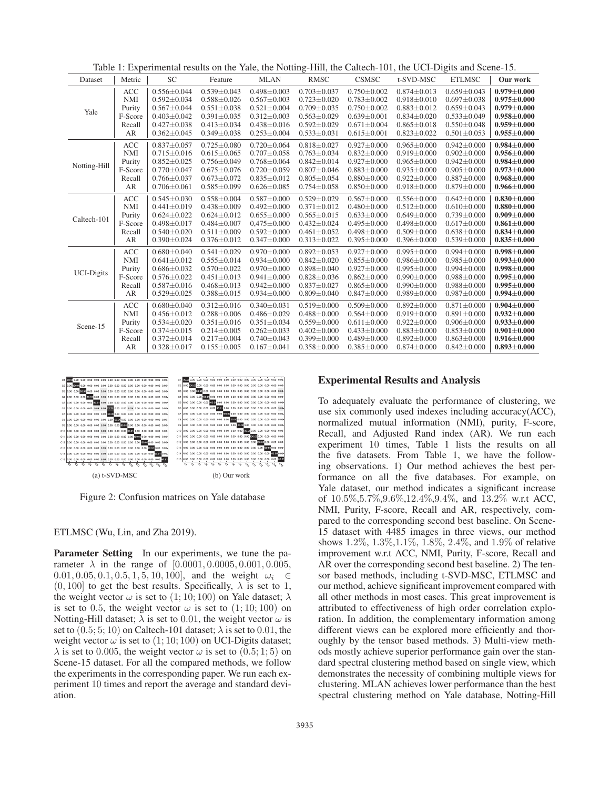Table 1: Experimental results on the Yale, the Notting-Hill, the Caltech-101, the UCI-Digits and Scene-15.

| Dataset           | Metric     | <b>SC</b>         | Feature           | <b>MLAN</b>       | Tuble 1. Experimental results on the Tube, the Fouring Thin, the cultern ToT, the OCI Digits and beene To.<br><b>RMSC</b> | <b>CSMSC</b>      | t-SVD-MSC         | <b>ETLMSC</b>     | Our work          |
|-------------------|------------|-------------------|-------------------|-------------------|---------------------------------------------------------------------------------------------------------------------------|-------------------|-------------------|-------------------|-------------------|
| Yale              | ACC        | $0.556 \pm 0.044$ | $0.539 \pm 0.043$ | $0.498 \pm 0.003$ | $0.703 \pm 0.037$                                                                                                         | $0.750 \pm 0.002$ | $0.874 \pm 0.013$ | $0.659 \pm 0.043$ | $0.979 \pm 0.000$ |
|                   | <b>NMI</b> | $0.592 \pm 0.034$ | $0.588 \pm 0.026$ | $0.567 \pm 0.003$ | $0.723 \pm 0.020$                                                                                                         | $0.783 \pm 0.002$ | $0.918 \pm 0.010$ | $0.697 \pm 0.038$ | $0.975 \pm 0.000$ |
|                   | Purity     | $0.567 \pm 0.044$ | $0.551 \pm 0.038$ | $0.521 \pm 0.004$ | $0.709 \pm 0.035$                                                                                                         | $0.750 \pm 0.002$ | $0.883 \pm 0.012$ | $0.659 \pm 0.043$ | $0.979\pm0.000$   |
|                   | F-Score    | $0.403 \pm 0.042$ | $0.391 \pm 0.035$ | $0.312 \pm 0.003$ | $0.563 \pm 0.029$                                                                                                         | $0.639 \pm 0.001$ | $0.834 \pm 0.020$ | $0.533 \pm 0.049$ | $0.958 \pm 0.000$ |
|                   | Recall     | $0.427 \pm 0.038$ | $0.413 \pm 0.034$ | $0.438 \pm 0.016$ | $0.592 \pm 0.029$                                                                                                         | $0.671 \pm 0.004$ | $0.865 \pm 0.018$ | $0.550 \pm 0.048$ | $0.959 \pm 0.000$ |
|                   | AR         | $0.362 \pm 0.045$ | $0.349 \pm 0.038$ | $0.253 \pm 0.004$ | $0.533 \pm 0.031$                                                                                                         | $0.615 \pm 0.001$ | $0.823 \pm 0.022$ | $0.501 \pm 0.053$ | $0.955 \pm 0.000$ |
| Notting-Hill      | <b>ACC</b> | $0.837 \pm 0.057$ | $0.725 \pm 0.080$ | $0.720 \pm 0.064$ | $0.818 \pm 0.027$                                                                                                         | $0.927 \pm 0.000$ | $0.965 \pm 0.000$ | $0.942 \pm 0.000$ | $0.984 \pm 0.000$ |
|                   | <b>NMI</b> | $0.715 \pm 0.016$ | $0.615 \pm 0.065$ | $0.707 + 0.058$   | $0.763 \pm 0.034$                                                                                                         | $0.832 \pm 0.000$ | $0.919 \pm 0.000$ | $0.902 \pm 0.000$ | $0.956 \pm 0.000$ |
|                   | Purity     | $0.852 \pm 0.025$ | $0.756 \pm 0.049$ | $0.768 \pm 0.064$ | $0.842 \pm 0.014$                                                                                                         | $0.927 \pm 0.000$ | $0.965 \pm 0.000$ | $0.942 \pm 0.000$ | $0.984 \pm 0.000$ |
|                   | F-Score    | $0.770 \pm 0.047$ | $0.675 \pm 0.076$ | $0.720 \pm 0.059$ | $0.807 \pm 0.046$                                                                                                         | $0.883 \pm 0.000$ | $0.935 \pm 0.000$ | $0.905 \pm 0.000$ | $0.973 \pm 0.000$ |
|                   | Recall     | $0.766 \pm 0.037$ | $0.673 \pm 0.072$ | $0.835 \pm 0.012$ | $0.805 \pm 0.054$                                                                                                         | $0.880 \pm 0.000$ | $0.922 \pm 0.000$ | $0.887 \pm 0.000$ | $0.968 \pm 0.000$ |
|                   | AR         | $0.706 \pm 0.061$ | $0.585 \pm 0.099$ | $0.626 \pm 0.085$ | $0.754 \pm 0.058$                                                                                                         | $0.850 \pm 0.000$ | $0.918 \pm 0.000$ | $0.879 \pm 0.000$ | $0.966 \pm 0.000$ |
| Caltech-101       | <b>ACC</b> | $0.545 \pm 0.030$ | $0.558 \pm 0.004$ | $0.587 \pm 0.000$ | $0.529 \pm 0.029$                                                                                                         | $0.567 \pm 0.000$ | $0.556 \pm 0.000$ | $0.642 \pm 0.000$ | $0.830\pm0.000$   |
|                   | <b>NMI</b> | $0.441 \pm 0.019$ | $0.438 \pm 0.009$ | $0.492 \pm 0.000$ | $0.371 \pm 0.012$                                                                                                         | $0.480 \pm 0.000$ | $0.512 \pm 0.000$ | $0.610 \pm 0.000$ | $0.880 \pm 0.000$ |
|                   | Purity     | $0.624 \pm 0.022$ | $0.624 \pm 0.012$ | $0.655 \pm 0.000$ | $0.565 \pm 0.015$                                                                                                         | $0.633 \pm 0.000$ | $0.649 \pm 0.000$ | $0.739 \pm 0.000$ | $0.909 \pm 0.000$ |
|                   | F-Score    | $0.498 \pm 0.017$ | $0.484 \pm 0.007$ | $0,475 \pm 0.000$ | $0.432 \pm 0.024$                                                                                                         | $0.495 \pm 0.000$ | $0.498 \pm 0.000$ | $0.617 \pm 0.000$ | $0.861 \pm 0.000$ |
|                   | Recall     | $0.540 \pm 0.020$ | $0.511 \pm 0.009$ | $0.592 \pm 0.000$ | $0.461 \pm 0.052$                                                                                                         | $0.498 \pm 0.000$ | $0.509 \pm 0.000$ | $0.638 \pm 0.000$ | $0.834 \pm 0.000$ |
|                   | AR         | $0.390 \pm 0.024$ | $0.376 \pm 0.012$ | $0.347 \pm 0.000$ | $0.313 \pm 0.022$                                                                                                         | $0.395 \pm 0.000$ | $0.396 \pm 0.000$ | $0.539 \pm 0.000$ | $0.835 \pm 0.000$ |
| <b>UCI-Digits</b> | <b>ACC</b> | $0.680 \pm 0.040$ | $0.541 \pm 0.029$ | $0.970 \pm 0.000$ | $0.892 \pm 0.053$                                                                                                         | $0.927 \pm 0.000$ | $0.995 \pm 0.000$ | $0.994 \pm 0.000$ | $0.998 \pm 0.000$ |
|                   | <b>NMI</b> | $0.641 \pm 0.012$ | $0.555 \pm 0.014$ | $0.934 \pm 0.000$ | $0.842 \pm 0.020$                                                                                                         | $0.855 \pm 0.000$ | $0.986 \pm 0.000$ | $0.985 \pm 0.000$ | $0.993 \pm 0.000$ |
|                   | Purity     | $0.686 \pm 0.032$ | $0.570 \pm 0.022$ | $0.970 \pm 0.000$ | $0.898 \pm 0.040$                                                                                                         | $0.927 \pm 0.000$ | $0.995 \pm 0.000$ | $0.994 \pm 0.000$ | $0.998 \pm 0.000$ |
|                   | F-Score    | $0.576 \pm 0.022$ | $0.451 \pm 0.013$ | $0.941 \pm 0.000$ | $0.828 \pm 0.036$                                                                                                         | $0.862 \pm 0.000$ | $0.990 \pm 0.000$ | $0.988 \pm 0.000$ | $0.995 \pm 0.000$ |
|                   | Recall     | $0.587 \pm 0.016$ | $0.468 \pm 0.013$ | $0.942 \pm 0.000$ | $0.837 \pm 0.027$                                                                                                         | $0.865 \pm 0.000$ | $0.990 \pm 0.000$ | $0.988 \pm 0.000$ | $0.995 \pm 0.000$ |
|                   | AR         | $0.529 \pm 0.025$ | $0.388 \pm 0.015$ | $0.934 \pm 0.000$ | $0.809 \pm 0.040$                                                                                                         | $0.847 \pm 0.000$ | $0.989 \pm 0.000$ | $0.987 \pm 0.000$ | $0.994 \pm 0.000$ |
| Scene-15          | ACC        | $0.680 \pm 0.040$ | $0.312 \pm 0.016$ | $0.340 \pm 0.031$ | $0.519 \pm 0.000$                                                                                                         | $0.509 \pm 0.000$ | $0.892 \pm 0.000$ | $0.871 \pm 0.000$ | $0.904 \pm 0.000$ |
|                   | <b>NMI</b> | $0.456 \pm 0.012$ | $0.288 \pm 0.006$ | $0.486 \pm 0.029$ | $0.488 + 0.000$                                                                                                           | $0.564 \pm 0.000$ | $0.919 \pm 0.000$ | $0.891 \pm 0.000$ | $0.932 \pm 0.000$ |
|                   | Purity     | $0.534 \pm 0.020$ | $0.351 \pm 0.016$ | $0.351 \pm 0.034$ | $0.559 \pm 0.000$                                                                                                         | $0.611 \pm 0.000$ | $0.922 \pm 0.000$ | $0.906 \pm 0.000$ | $0.933 \pm 0.000$ |
|                   | F-Score    | $0.374 \pm 0.015$ | $0.214 \pm 0.005$ | $0.262 \pm 0.033$ | $0.402 \pm 0.000$                                                                                                         | $0.433 \pm 0.000$ | $0.883 \pm 0.000$ | $0.853 \pm 0.000$ | $0.901 + 0.000$   |
|                   | Recall     | $0.372 \pm 0.014$ | $0.217 \pm 0.004$ | $0.740 \pm 0.043$ | $0.399 \pm 0.000$                                                                                                         | $0.489 \pm 0.000$ | $0.892 \pm 0.000$ | $0.863 \pm 0.000$ | $0.916 \pm 0.000$ |
|                   | AR         | $0.328 \pm 0.017$ | $0.155 \pm 0.005$ | $0.167 \pm 0.041$ | $0.358 \pm 0.000$                                                                                                         | $0.385 \pm 0.000$ | $0.874 \pm 0.000$ | $0.842 \pm 0.000$ | $0.893 \pm 0.000$ |



Figure 2: Confusion matrices on Yale database

ETLMSC (Wu, Lin, and Zha 2019).

Parameter Setting In our experiments, we tune the parameter  $\lambda$  in the range of [0.0001, 0.0005, 0.001, 0.005, 0.01, 0.05, 0.1, 0.5, 1, 5, 10, 100], and the weight  $\omega_i \in$  $(0, 100]$  to get the best results. Specifically,  $\lambda$  is set to 1, the weight vector  $\omega$  is set to (1; 10; 100) on Yale dataset;  $\lambda$ is set to 0.5, the weight vector  $\omega$  is set to  $(1; 10; 100)$  on Notting-Hill dataset;  $\lambda$  is set to 0.01, the weight vector  $\omega$  is set to  $(0.5; 5; 10)$  on Caltech-101 dataset;  $\lambda$  is set to 0.01, the weight vector  $\omega$  is set to (1; 10; 100) on UCI-Digits dataset;  $\lambda$  is set to 0.005, the weight vector  $\omega$  is set to (0.5; 1; 5) on Scene-15 dataset. For all the compared methods, we follow the experiments in the corresponding paper. We run each experiment 10 times and report the average and standard deviation.

### Experimental Results and Analysis

To adequately evaluate the performance of clustering, we use six commonly used indexes including accuracy(ACC), normalized mutual information (NMI), purity, F-score, Recall, and Adjusted Rand index (AR). We run each experiment 10 times, Table 1 lists the results on all the five datasets. From Table 1, we have the following observations. 1) Our method achieves the best performance on all the five databases. For example, on Yale dataset, our method indicates a significant increase of 10.5%,5.7%,9.6%,12.4%,9.4%, and 13.2% w.r.t ACC, NMI, Purity, F-score, Recall and AR, respectively, compared to the corresponding second best baseline. On Scene-15 dataset with 4485 images in three views, our method shows 1.2%, 1.3%,1.1%, 1.8%, 2.4%, and 1.9% of relative improvement w.r.t ACC, NMI, Purity, F-score, Recall and AR over the corresponding second best baseline. 2) The tensor based methods, including t-SVD-MSC, ETLMSC and our method, achieve significant improvement compared with all other methods in most cases. This great improvement is attributed to effectiveness of high order correlation exploration. In addition, the complementary information among different views can be explored more efficiently and thoroughly by the tensor based methods. 3) Multi-view methods mostly achieve superior performance gain over the standard spectral clustering method based on single view, which demonstrates the necessity of combining multiple views for clustering. MLAN achieves lower performance than the best spectral clustering method on Yale database, Notting-Hill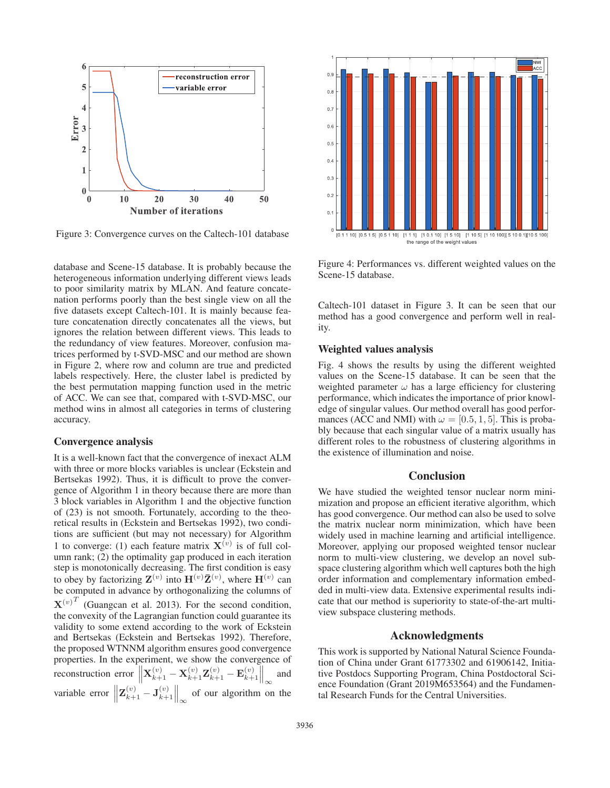

Figure 3: Convergence curves on the Caltech-101 database

database and Scene-15 database. It is probably because the heterogeneous information underlying different views leads to poor similarity matrix by MLAN. And feature concatenation performs poorly than the best single view on all the five datasets except Caltech-101. It is mainly because feature concatenation directly concatenates all the views, but ignores the relation between different views. This leads to the redundancy of view features. Moreover, confusion matrices performed by t-SVD-MSC and our method are shown in Figure 2, where row and column are true and predicted labels respectively. Here, the cluster label is predicted by the best permutation mapping function used in the metric of ACC. We can see that, compared with t-SVD-MSC, our method wins in almost all categories in terms of clustering accuracy.

# Convergence analysis

It is a well-known fact that the convergence of inexact ALM with three or more blocks variables is unclear (Eckstein and Bertsekas 1992). Thus, it is difficult to prove the convergence of Algorithm 1 in theory because there are more than 3 block variables in Algorithm 1 and the objective function of (23) is not smooth. Fortunately, according to the theoretical results in (Eckstein and Bertsekas 1992), two conditions are sufficient (but may not necessary) for Algorithm 1 to converge: (1) each feature matrix  $X^{(v)}$  is of full column rank; (2) the optimality gap produced in each iteration step is monotonically decreasing. The first condition is easy to obey by factorizing  $\mathbf{Z}^{(v)}$  into  $\mathbf{H}^{(v)}\bar{\mathbf{Z}}^{(v)}$ , where  $\mathbf{H}^{(v)}$  can be computed in advance by orthogonalizing the columns of  ${\bf X}^{(v)}^T$  (Guangcan et al. 2013). For the second condition, the convexity of the Lagrangian function could guarantee its validity to some extend according to the work of Eckstein and Bertsekas (Eckstein and Bertsekas 1992). Therefore, the proposed WTNNM algorithm ensures good convergence properties. In the experiment, we show the convergence of **reconstruction error**  $\left\| \mathbf{X}_{k+1}^{(v)} - \mathbf{X}_{k+1}^{(v)} \mathbf{Z}_{k+1}^{(v)} - \mathbf{E}_{k+1}^{(v)} \right\|_{\infty}$ and variable error  $\left\| \mathbf{Z}_{k+1}^{(v)} - \mathbf{J}_{k+1}^{(v)} \right\|_{\infty}$ of our algorithm on the



Figure 4: Performances vs. different weighted values on the Scene-15 database.

Caltech-101 dataset in Figure 3. It can be seen that our method has a good convergence and perform well in reality.

# Weighted values analysis

Fig. 4 shows the results by using the different weighted values on the Scene-15 database. It can be seen that the weighted parameter  $\omega$  has a large efficiency for clustering performance, which indicates the importance of prior knowledge of singular values. Our method overall has good performances (ACC and NMI) with  $\omega = [0.5, 1, 5]$ . This is probably because that each singular value of a matrix usually has different roles to the robustness of clustering algorithms in the existence of illumination and noise.

# **Conclusion**

We have studied the weighted tensor nuclear norm minimization and propose an efficient iterative algorithm, which has good convergence. Our method can also be used to solve the matrix nuclear norm minimization, which have been widely used in machine learning and artificial intelligence. Moreover, applying our proposed weighted tensor nuclear norm to multi-view clustering, we develop an novel subspace clustering algorithm which well captures both the high order information and complementary information embedded in multi-view data. Extensive experimental results indicate that our method is superiority to state-of-the-art multiview subspace clustering methods.

## Acknowledgments

This work is supported by National Natural Science Foundation of China under Grant 61773302 and 61906142, Initiative Postdocs Supporting Program, China Postdoctoral Science Foundation (Grant 2019M653564) and the Fundamental Research Funds for the Central Universities.